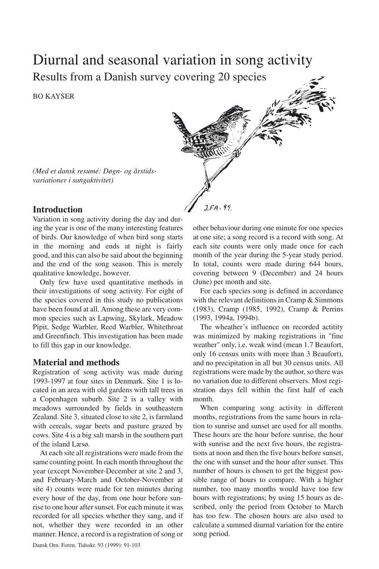# Diurnal and seasonal variation in song activity Results from a Danish survey covering 20 species

BO KAYSER



*(Med et dansk resumé: Døgn- og årstidsvariationer i sangaktivitet)*

# **Introduction**

Variation in song activity during the day and during the year is one of the many interesting features of birds. Our knowledge of when bird song starts in the morning and ends at night is fairly good, and this can also be said about the beginning and the end of the song season. This is merely qualitative knowledge, however.

Only few have used quantitative methods in their investigations of song activity. For eight of the species covered in this study no publications have been found at all. Among these are very common species such as Lapwing, Skylark, Meadow Pipit, Sedge Warbler, Reed Warbler, Whitethroat and Greenfinch. This investigation has been made to fill this gap in our knowledge.

# **Material and methods**

Registration of song activity was made during 1993-1997 at four sites in Denmark. Site 1 is located in an area with old gardens with tall trees in a Copenhagen suburb. Site 2 is a valley with meadows surrounded by fields in southeastern Zealand. Site 3, situated close to site 2, is farmland with cereals, sugar beets and pasture grazed by cows. Site 4 is a big salt marsh in the southern part of the island Læsø.

At each site all registrations were made from the same counting point. In each month throughout the year (except November-December at site 2 and 3, and February-March and October-November at site 4) counts were made for ten minutes during every hour of the day, from one hour before sunrise to one hour after sunset. For each minute it was recorded for all species whether they sang, and if not, whether they were recorded in an other manner. Hence, a record is a registration of song or other behaviour during one minute for one species at one site; a song record is a record with song. At each site counts were only made once for each month of the year during the 5-year study period. In total, counts were made during 644 hours, covering between 9 (December) and 24 hours (June) per month and site.

For each species song is defined in accordance with the relevant definitions in Cramp & Simmons (1983), Cramp (1985, 1992), Cramp & Perrins (1993, 1994a, 1994b).

The wheather's influence on recorded actitity was minimized by making registrations in "fine weather" only, i.e. weak wind (mean 1.7 Beaufort, only 16 census units with more than 3 Beaufort), and no precipitation in all but 30 census units. All registrations were made by the author, so there was no variation due to different observers. Most registration days fell within the first half of each month.

When comparing song activity in different months, registrations from the same hours in relation to sunrise and sunset are used for all months. These hours are the hour before sunrise, the hour with sunrise and the next five hours, the registrations at noon and then the five hours before sunset, the one with sunset and the hour after sunset. This number of hours is chosen to get the biggest possible range of hours to compare. With a higher number, too many months would have too few hours with registrations; by using 15 hours as described, only the period from October to March has too few. The chosen hours are also used to calculate a summed diurnal variation for the entire song period.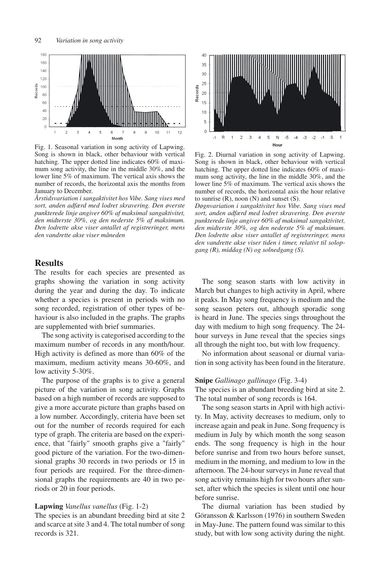

Fig. 1. Seasonal variation in song activity of Lapwing. Song is shown in black, other behaviour with vertical hatching. The upper dotted line indicates 60% of maximum song activity, the line in the middle 30%, and the lower line 5% of maximum. The vertical axis shows the number of records, the horizontal axis the months from January to December.

*Årstidsvariation i sangaktivitet hos Vibe. Sang vises med sort, anden adfærd med lodret skravering. Den øverste punkterede linje angiver 60% af maksimal sangaktivitet, den midterste 30%, og den nederste 5% af maksimum. Den lodrette akse viser antallet af registreringer, mens den vandrette akse viser måneden*

# **Results**

The results for each species are presented as graphs showing the variation in song activity during the year and during the day. To indicate whether a species is present in periods with no song recorded, registration of other types of behaviour is also included in the graphs. The graphs are supplemented with brief summaries.

The song activity is categorised according to the maximum number of records in any month/hour. High activity is defined as more than 60% of the maximum, medium activity means 30-60%, and low activity 5-30%.

The purpose of the graphs is to give a general picture of the variation in song activity. Graphs based on a high number of records are supposed to give a more accurate picture than graphs based on a low number. Accordingly, criteria have been set out for the number of records required for each type of graph. The criteria are based on the experience, that "fairly" smooth graphs give a "fairly" good picture of the variation. For the two-dimensional graphs 30 records in two periods or 15 in four periods are required. For the three-dimensional graphs the requirements are 40 in two periods or 20 in four periods.

# **Lapwing** *Vanellus vanellus* (Fig. 1-2)

The species is an abundant breeding bird at site 2 and scarce at site 3 and 4. The total number of song records is 321.



Fig. 2. Diurnal variation in song activity of Lapwing. Song is shown in black, other behaviour with vertical hatching. The upper dotted line indicates 60% of maximum song activity, the line in the middle 30%, and the lower line 5% of maximum. The vertical axis shows the number of records, the horizontal axis the hour relative to sunrise  $(R)$ , noon  $(N)$  and sunset  $(S)$ .

*Døgnvariation i sangaktivitet hos Vibe. Sang vises med sort, anden adfærd med lodret skravering. Den øverste punkterede linje angiver 60% af maksimal sangaktivitet, den midterste 30%, og den nederste 5% af maksimum. Den lodrette akse viser antallet af registreringer, mens den vandrette akse viser tiden i timer, relativt til solopgang (R), middag (N) og solnedgang (S).*

The song season starts with low activity in March but changes to high activity in April, where it peaks. In May song frequency is medium and the song season peters out, although sporadic song is heard in June. The species sings throughout the day with medium to high song frequency. The 24 hour surveys in June reveal that the species sings all through the night too, but with low frequency.

No information about seasonal or diurnal variation in song activity has been found in the literature.

#### **Snipe** *Gallinago gallinago* (Fig. 3-4)

The species is an abundant breeding bird at site 2. The total number of song records is 164.

The song season starts in April with high activity. In May, activity decreases to medium, only to increase again and peak in June. Song frequency is medium in July by which month the song season ends. The song frequency is high in the hour before sunrise and from two hours before sunset, medium in the morning, and medium to low in the afternoon. The 24-hour surveys in June reveal that song activity remains high for two hours after sunset, after which the species is silent until one hour before sunrise.

The diurnal variation has been studied by Göransson & Karlsson (1976) in southern Sweden in May-June. The pattern found was similar to this study, but with low song activity during the night.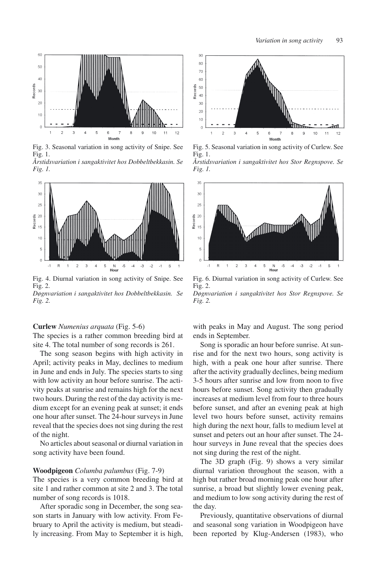

Fig. 3. Seasonal variation in song activity of Snipe. See Fig. 1. *Årstidsvariation i sangaktivitet hos Dobbeltbekkasin. Se Fig. 1.*



Fig. 4. Diurnal variation in song activity of Snipe. See Fig. 2. *Døgnvariation i sangaktivitet hos Dobbeltbekkasin. Se*



#### **Curlew** *Numenius arquata* (Fig. 5-6)

The species is a rather common breeding bird at site 4. The total number of song records is 261.

The song season begins with high activity in April; activity peaks in May, declines to medium in June and ends in July. The species starts to sing with low activity an hour before sunrise. The activity peaks at sunrise and remains high for the next two hours. During the rest of the day activity is medium except for an evening peak at sunset; it ends one hour after sunset. The 24-hour surveys in June reveal that the species does not sing during the rest of the night.

No articles about seasonal or diurnal variation in song activity have been found.

#### **Woodpigeon** *Columba palumbus* (Fig. 7-9)

The species is a very common breeding bird at site 1 and rather common at site 2 and 3. The total number of song records is 1018.

After sporadic song in December, the song season starts in January with low activity. From February to April the activity is medium, but steadily increasing. From May to September it is high,



Fig. 5. Seasonal variation in song activity of Curlew. See Fig. 1. *Årstidsvariation i sangaktivitet hos Stor Regnspove. Se Fig. 1.*



Fig. 6. Diurnal variation in song activity of Curlew. See Fig. 2.

*Døgnvariation i sangaktivitet hos Stor Regnspove. Se Fig. 2.*

with peaks in May and August. The song period ends in September.

Song is sporadic an hour before sunrise. At sunrise and for the next two hours, song activity is high, with a peak one hour after sunrise. There after the activity gradually declines, being medium 3-5 hours after sunrise and low from noon to five hours before sunset. Song activity then gradually increases at medium level from four to three hours before sunset, and after an evening peak at high level two hours before sunset, activity remains high during the next hour, falls to medium level at sunset and peters out an hour after sunset. The 24 hour surveys in June reveal that the species does not sing during the rest of the night.

The 3D graph (Fig. 9) shows a very similar diurnal variation throughout the season, with a high but rather broad morning peak one hour after sunrise, a broad but slightly lower evening peak, and medium to low song activity during the rest of the day.

Previously, quantitative observations of diurnal and seasonal song variation in Woodpigeon have been reported by Klug-Andersen (1983), who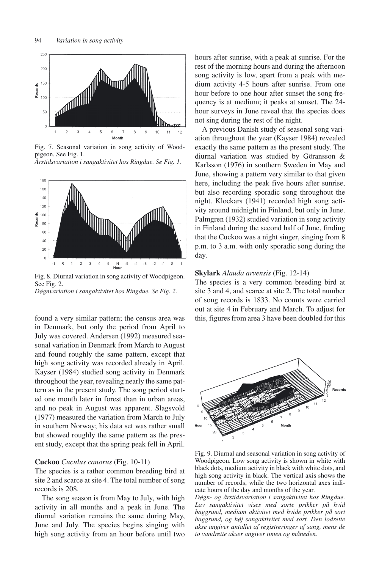

Fig. 7. Seasonal variation in song activity of Woodpigeon. See Fig. 1. *Årstidsvariation i sangaktivitet hos Ringdue. Se Fig. 1.*



Fig. 8. Diurnal variation in song activity of Woodpigeon. See Fig. 2.

*Døgnvariation i sangaktivitet hos Ringdue. Se Fig. 2.*

found a very similar pattern; the census area was in Denmark, but only the period from April to July was covered. Andersen (1992) measured seasonal variation in Denmark from March to August and found roughly the same pattern, except that high song activity was recorded already in April. Kayser (1984) studied song activity in Denmark throughout the year, revealing nearly the same pattern as in the present study. The song period started one month later in forest than in urban areas, and no peak in August was apparent. Slagsvold (1977) measured the variation from March to July in southern Norway; his data set was rather small but showed roughly the same pattern as the present study, except that the spring peak fell in April.

# **Cuckoo** *Cuculus canorus* (Fig. 10-11)

The species is a rather common breeding bird at site 2 and scarce at site 4. The total number of song records is 208.

The song season is from May to July, with high activity in all months and a peak in June. The diurnal variation remains the same during May, June and July. The species begins singing with high song activity from an hour before until two hours after sunrise, with a peak at sunrise. For the rest of the morning hours and during the afternoon song activity is low, apart from a peak with medium activity 4-5 hours after sunrise. From one hour before to one hour after sunset the song frequency is at medium; it peaks at sunset. The 24 hour surveys in June reveal that the species does not sing during the rest of the night.

A previous Danish study of seasonal song variation throughout the year (Kayser 1984) revealed exactly the same pattern as the present study. The diurnal variation was studied by Göransson & Karlsson (1976) in southern Sweden in May and June, showing a pattern very similar to that given here, including the peak five hours after sunrise, but also recording sporadic song throughout the night. Klockars (1941) recorded high song activity around midnight in Finland, but only in June. Palmgren (1932) studied variation in song activity in Finland during the second half of June, finding that the Cuckoo was a night singer, singing from 8 p.m. to 3 a.m. with only sporadic song during the day.

## **Skylark** *Alauda arvensis* (Fig. 12-14)

The species is a very common breeding bird at site 3 and 4, and scarce at site 2. The total number of song records is 1833. No counts were carried out at site 4 in February and March. To adjust for this, figures from area 3 have been doubled for this



Fig. 9. Diurnal and seasonal variation in song activity of Woodpigeon. Low song activity is shown in white with black dots, medium activity in black with white dots, and high song activity in black. The vertical axis shows the number of records, while the two horizontal axes indicate hours of the day and months of the year.

*Døgn- og årstidsvariation i sangaktivitet hos Ringdue. Lav sangaktivitet vises med sorte prikker på hvid baggrund, medium aktivitet med hvide prikker på sort baggrund, og høj sangaktivitet med sort. Den lodrette akse angiver antallet af registreringer af sang, mens de to vandrette akser angiver timen og måneden.*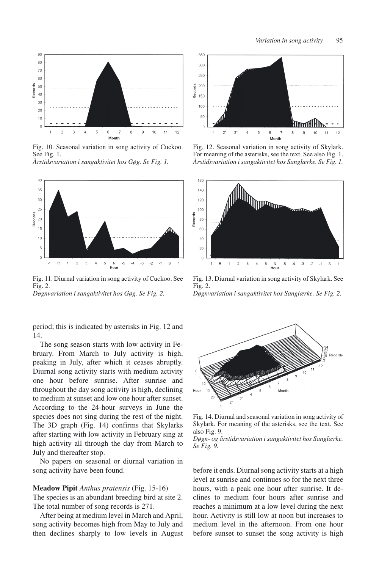

Fig. 10. Seasonal variation in song activity of Cuckoo. See Fig. 1. *Årstidsvariation i sangaktivitet hos Gøg. Se Fig. 1.*



Fig. 11. Diurnal variation in song activity of Cuckoo. See Fig. 2.

*Døgnvariation i sangaktivitet hos Gøg. Se Fig. 2.*

period; this is indicated by asterisks in Fig. 12 and 14.

The song season starts with low activity in February. From March to July activity is high, peaking in July, after which it ceases abruptly. Diurnal song activity starts with medium activity one hour before sunrise. After sunrise and throughout the day song activity is high, declining to medium at sunset and low one hour after sunset. According to the 24-hour surveys in June the species does not sing during the rest of the night. The 3D graph (Fig. 14) confirms that Skylarks after starting with low activity in February sing at high activity all through the day from March to July and thereafter stop.

No papers on seasonal or diurnal variation in song activity have been found.

#### **Meadow Pipit** *Anthus pratensis* (Fig. 15-16)

The species is an abundant breeding bird at site 2. The total number of song records is 271.

After being at medium level in March and April, song activity becomes high from May to July and then declines sharply to low levels in August



Fig. 12. Seasonal variation in song activity of Skylark. For meaning of the asterisks, see the text. See also Fig. 1. *Årstidsvariation i sangaktivitet hos Sanglærke. Se Fig. 1.*



Fig. 13. Diurnal variation in song activity of Skylark. See Fig. 2.

*Døgnvariation i sangaktivitet hos Sanglærke. Se Fig. 2.*



Fig. 14. Diurnal and seasonal variation in song activity of Skylark. For meaning of the asterisks, see the text. See also Fig. 9.

*Døgn- og årstidsvariation i sangaktivitet hos Sanglærke. Se Fig. 9.*

before it ends. Diurnal song activity starts at a high level at sunrise and continues so for the next three hours, with a peak one hour after sunrise. It declines to medium four hours after sunrise and reaches a minimum at a low level during the next hour. Activity is still low at noon but increases to medium level in the afternoon. From one hour before sunset to sunset the song activity is high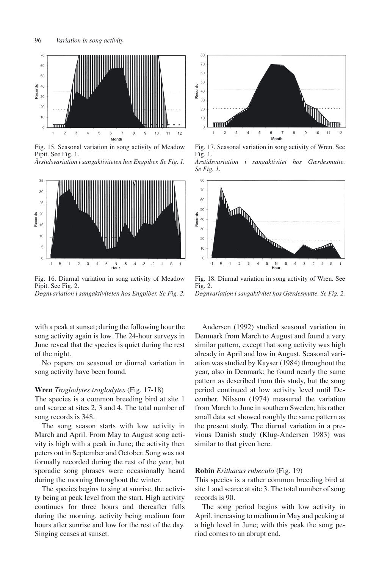

Fig. 15. Seasonal variation in song activity of Meadow Pipit. See Fig. 1. *Årstidsvariation i sangaktiviteten hos Engpiber. Se Fig. 1.*



Fig. 16. Diurnal variation in song activity of Meadow Pipit. See Fig. 2. *Døgnvariation i sangaktiviteten hos Engpiber. Se Fig. 2.*

with a peak at sunset; during the following hour the song activity again is low. The 24-hour surveys in June reveal that the species is quiet during the rest of the night.

No papers on seasonal or diurnal variation in song activity have been found.

#### **Wren** *Troglodytes troglodytes* (Fig. 17-18)

The species is a common breeding bird at site 1 and scarce at sites 2, 3 and 4. The total number of song records is 348.

The song season starts with low activity in March and April. From May to August song activity is high with a peak in June; the activity then peters out in September and October. Song was not formally recorded during the rest of the year, but sporadic song phrases were occasionally heard during the morning throughout the winter.

The species begins to sing at sunrise, the activity being at peak level from the start. High activity continues for three hours and thereafter falls during the morning, activity being medium four hours after sunrise and low for the rest of the day. Singing ceases at sunset.



Fig. 17. Seasonal variation in song activity of Wren. See Fig. 1. *Årstidsvariation i sangaktivitet hos Gærdesmutte. Se Fig. 1.*



Fig. 18. Diurnal variation in song activity of Wren. See Fig. 2. *Døgnvariation i sangaktivitet hos Gærdesmutte. Se Fig. 2.*

Andersen (1992) studied seasonal variation in Denmark from March to August and found a very similar pattern, except that song activity was high already in April and low in August. Seasonal variation was studied by Kayser (1984) throughout the year, also in Denmark; he found nearly the same pattern as described from this study, but the song period continued at low activity level until December. Nilsson (1974) measured the variation from March to June in southern Sweden; his rather small data set showed roughly the same pattern as the present study. The diurnal variation in a previous Danish study (Klug-Andersen 1983) was similar to that given here.

#### **Robin** *Erithacus rubecula* (Fig. 19)

This species is a rather common breeding bird at site 1 and scarce at site 3. The total number of song records is 90.

The song period begins with low activity in April, increasing to medium in May and peaking at a high level in June; with this peak the song period comes to an abrupt end.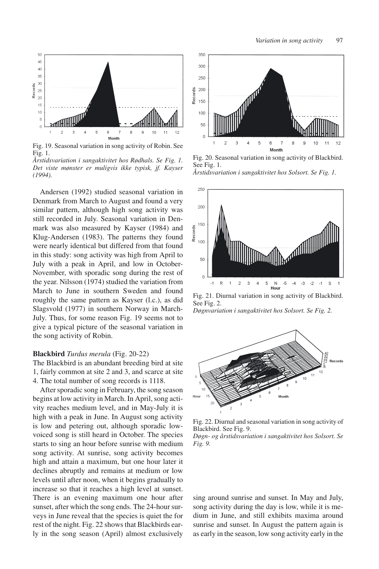

Fig. 19. Seasonal variation in song activity of Robin. See Fig. 1.

*Årstidsvariation i sangaktivitet hos Rødhals. Se Fig. 1. Det viste mønster er muligvis ikke typisk, jf. Kayser (1994).*

Andersen (1992) studied seasonal variation in Denmark from March to August and found a very similar pattern, although high song activity was still recorded in July. Seasonal variation in Denmark was also measured by Kayser (1984) and Klug-Andersen (1983). The patterns they found were nearly identical but differed from that found in this study: song activity was high from April to July with a peak in April, and low in October-November, with sporadic song during the rest of the year. Nilsson (1974) studied the variation from March to June in southern Sweden and found roughly the same pattern as Kayser (l.c.), as did Slagsvold (1977) in southern Norway in March-July. Thus, for some reason Fig. 19 seems not to give a typical picture of the seasonal variation in the song activity of Robin.

#### **Blackbird** *Turdus merula* (Fig. 20-22)

The Blackbird is an abundant breeding bird at site 1, fairly common at site 2 and 3, and scarce at site 4. The total number of song records is 1118.

After sporadic song in February, the song season begins at low activity in March. In April, song activity reaches medium level, and in May-July it is high with a peak in June. In August song activity is low and petering out, although sporadic lowvoiced song is still heard in October. The species starts to sing an hour before sunrise with medium song activity. At sunrise, song activity becomes high and attain a maximum, but one hour later it declines abruptly and remains at medium or low levels until after noon, when it begins gradually to increase so that it reaches a high level at sunset. There is an evening maximum one hour after sunset, after which the song ends. The 24-hour surveys in June reveal that the species is quiet the for rest of the night. Fig. 22 shows that Blackbirds early in the song season (April) almost exclusively



Fig. 20. Seasonal variation in song activity of Blackbird. See Fig. 1.





Fig. 21. Diurnal variation in song activity of Blackbird. See Fig. 2.

*Døgnvariation i sangaktivitet hos Solsort. Se Fig. 2.*



Fig. 22. Diurnal and seasonal variation in song activity of Blackbird. See Fig. 9.

*Døgn- og årstidsvariation i sangaktivitet hos Solsort. Se Fig. 9.*

sing around sunrise and sunset. In May and July, song activity during the day is low, while it is medium in June, and still exhibits maxima around sunrise and sunset. In August the pattern again is as early in the season, low song activity early in the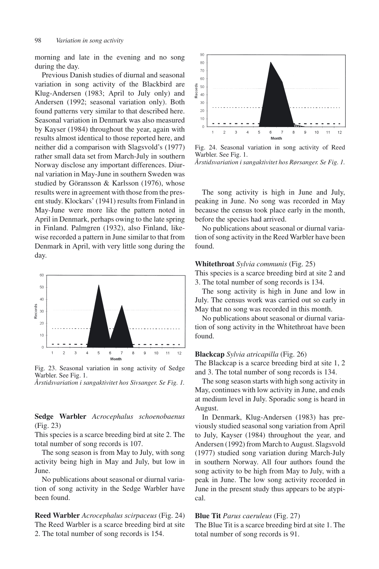morning and late in the evening and no song during the day.

Previous Danish studies of diurnal and seasonal variation in song activity of the Blackbird are Klug-Andersen (1983; April to July only) and Andersen (1992; seasonal variation only). Both found patterns very similar to that described here. Seasonal variation in Denmark was also measured by Kayser (1984) throughout the year, again with results almost identical to those reported here, and neither did a comparison with Slagsvold's (1977) rather small data set from March-July in southern Norway disclose any important differences. Diurnal variation in May-June in southern Sweden was studied by Göransson & Karlsson (1976), whose results were in agreement with those from the present study. Klockars' (1941) results from Finland in May-June were more like the pattern noted in April in Denmark, perhaps owing to the late spring in Finland. Palmgren (1932), also Finland, likewise recorded a pattern in June similar to that from Denmark in April, with very little song during the day.



Fig. 23. Seasonal variation in song activity of Sedge Warbler. See Fig. 1. *Årstidsvariation i sangaktivitet hos Sivsanger. Se Fig. 1.*

**Sedge Warbler** *Acrocephalus schoenobaenus* (Fig. 23)

This species is a scarce breeding bird at site 2. The total number of song records is 107.

The song season is from May to July, with song activity being high in May and July, but low in June.

No publications about seasonal or diurnal variation of song activity in the Sedge Warbler have been found.

**Reed Warbler** *Acrocephalus scirpaceus* (Fig. 24) The Reed Warbler is a scarce breeding bird at site 2. The total number of song records is 154.



Fig. 24. Seasonal variation in song activity of Reed Warbler. See Fig. 1. *Årstidsvariation i sangaktivitet hos Rørsanger. Se Fig. 1.*

The song activity is high in June and July, peaking in June. No song was recorded in May because the census took place early in the month, before the species had arrived.

No publications about seasonal or diurnal variation of song activity in the Reed Warbler have been found.

#### **Whitethroat** *Sylvia communis* (Fig. 25)

This species is a scarce breeding bird at site 2 and 3. The total number of song records is 134.

The song activity is high in June and low in July. The census work was carried out so early in May that no song was recorded in this month.

No publications about seasonal or diurnal variation of song activity in the Whitethroat have been found.

#### **Blackcap** *Sylvia atricapilla* (Fig. 26)

The Blackcap is a scarce breeding bird at site 1, 2 and 3. The total number of song records is 134.

The song season starts with high song activity in May, continues with low activity in June, and ends at medium level in July. Sporadic song is heard in August.

In Denmark, Klug-Andersen (1983) has previously studied seasonal song variation from April to July, Kayser (1984) throughout the year, and Andersen (1992) from March to August. Slagsvold (1977) studied song variation during March-July in southern Norway. All four authors found the song activity to be high from May to July, with a peak in June. The low song activity recorded in June in the present study thus appears to be atypical.

# **Blue Tit** *Parus caeruleus* (Fig. 27)

The Blue Tit is a scarce breeding bird at site 1. The total number of song records is 91.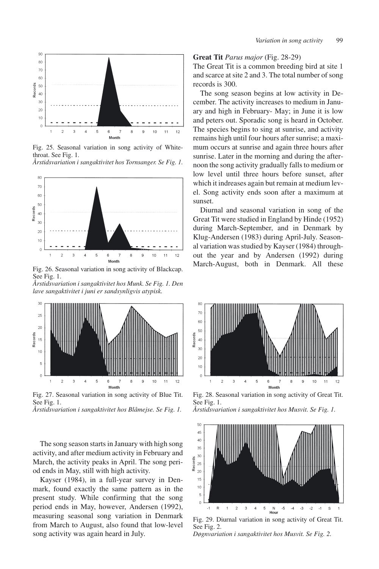

Fig. 25. Seasonal variation in song activity of Whitethroat. See Fig. 1.





Fig. 26. Seasonal variation in song activity of Blackcap. See Fig. 1.

*Årstidsvariation i sangaktivitet hos Munk. Se Fig. 1. Den lave sangaktivitet i juni er sandsynligvis atypisk.*



Fig. 27. Seasonal variation in song activity of Blue Tit. See Fig. 1.

*Årstidsvariation i sangaktivitet hos Blåmejse. Se Fig. 1.*

The song season starts in January with high song activity, and after medium activity in February and March, the activity peaks in April. The song period ends in May, still with high activity.

Kayser (1984), in a full-year survey in Denmark, found exactly the same pattern as in the present study. While confirming that the song period ends in May, however, Andersen (1992), measuring seasonal song variation in Denmark from March to August, also found that low-level song activity was again heard in July.

## **Great Tit** *Parus major* (Fig. 28-29)

The Great Tit is a common breeding bird at site 1 and scarce at site 2 and 3. The total number of song records is 300.

The song season begins at low activity in December. The activity increases to medium in January and high in February- May; in June it is low and peters out. Sporadic song is heard in October. The species begins to sing at sunrise, and activity remains high until four hours after sunrise; a maximum occurs at sunrise and again three hours after sunrise. Later in the morning and during the afternoon the song activity gradually falls to medium or low level until three hours before sunset, after which it indreases again but remain at medium level. Song activity ends soon after a maximum at sunset.

Diurnal and seasonal variation in song of the Great Tit were studied in England by Hinde (1952) during March-September, and in Denmark by Klug-Andersen (1983) during April-July. Seasonal variation was studied by Kayser (1984) throughout the year and by Andersen (1992) during March-August, both in Denmark. All these



Fig. 28. Seasonal variation in song activity of Great Tit. See Fig. 1.

*Årstidsvariation i sangaktivitet hos Musvit. Se Fig. 1.*



Fig. 29. Diurnal variation in song activity of Great Tit. See Fig. 2. *Døgnvariation i sangaktivitet hos Musvit. Se Fig. 2.*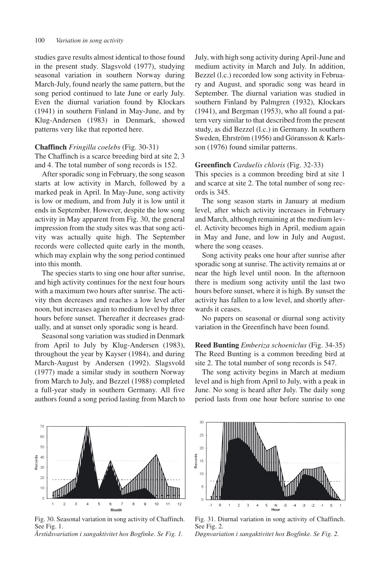studies gave results almost identical to those found in the present study. Slagsvold (1977), studying seasonal variation in southern Norway during March-July, found nearly the same pattern, but the song period continued to late June or early July. Even the diurnal variation found by Klockars (1941) in southern Finland in May-June, and by Klug-Andersen (1983) in Denmark, showed patterns very like that reported here.

#### **Chaffinch** *Fringilla coelebs* (Fig. 30-31)

The Chaffinch is a scarce breeding bird at site 2, 3 and 4. The total number of song records is 152.

After sporadic song in February, the song season starts at low activity in March, followed by a marked peak in April. In May-June, song activity is low or medium, and from July it is low until it ends in September. However, despite the low song activity in May apparent from Fig. 30, the general impression from the study sites was that song activity was actually quite high. The September records were collected quite early in the month, which may explain why the song period continued into this month.

The species starts to sing one hour after sunrise, and high activity continues for the next four hours with a maximum two hours after sunrise. The activity then decreases and reaches a low level after noon, but increases again to medium level by three hours before sunset. Thereafter it decreases gradually, and at sunset only sporadic song is heard.

Seasonal song variation was studied in Denmark from April to July by Klug-Andersen (1983), throughout the year by Kayser (1984), and during March-August by Andersen (1992). Slagsvold (1977) made a similar study in southern Norway from March to July, and Bezzel (1988) completed a full-year study in southern Germany. All five authors found a song period lasting from March to



Fig. 30. Seasonal variation in song activity of Chaffinch. See Fig. 1.

*Årstidsvariation i sangaktivitet hos Bogfinke. Se Fig. 1.*

July, with high song activity during April-June and medium activity in March and July. In addition, Bezzel (l.c.) recorded low song activity in February and August, and sporadic song was heard in September. The diurnal variation was studied in southern Finland by Palmgren (1932), Klockars (1941), and Bergman (1953), who all found a pattern very similar to that described from the present study, as did Bezzel (l.c.) in Germany. In southern Sweden, Ehrström (1956) and Göransson & Karlsson (1976) found similar patterns.

#### **Greenfinch** *Carduelis chloris* (Fig. 32-33)

This species is a common breeding bird at site 1 and scarce at site 2. The total number of song records is 345.

The song season starts in January at medium level, after which activity increases in February and March, although remaining at the medium level. Activity becomes high in April, medium again in May and June, and low in July and August, where the song ceases.

Song activity peaks one hour after sunrise after sporadic song at sunrise. The activity remains at or near the high level until noon. In the afternoon there is medium song activity until the last two hours before sunset, where it is high. By sunset the activity has fallen to a low level, and shortly afterwards it ceases.

No papers on seasonal or diurnal song activity variation in the Greenfinch have been found.

**Reed Bunting** *Emberiza schoeniclus* (Fig. 34-35) The Reed Bunting is a common breeding bird at site 2. The total number of song records is 547.

The song activity begins in March at medium level and is high from April to July, with a peak in June. No song is heard after July. The daily song period lasts from one hour before sunrise to one



Fig. 31. Diurnal variation in song activity of Chaffinch. See Fig. 2.

*Døgnvariation i sangaktivitet hos Bogfinke. Se Fig. 2.*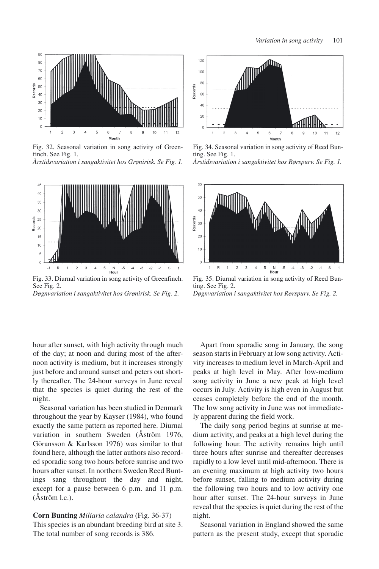

Fig. 32. Seasonal variation in song activity of Greenfinch. See Fig. 1. *Årstidsvariation i sangaktivitet hos Grønirisk. Se Fig. 1.*



Fig. 33. Diurnal variation in song activity of Greenfinch. See Fig. 2. *Døgnvariation i sangaktivitet hos Grønirisk. Se Fig. 2.*

hour after sunset, with high activity through much of the day; at noon and during most of the afternoon activity is medium, but it increases strongly just before and around sunset and peters out shortly thereafter. The 24-hour surveys in June reveal that the species is quiet during the rest of the night.

Seasonal variation has been studied in Denmark throughout the year by Kayser (1984), who found exactly the same pattern as reported here. Diurnal variation in southern Sweden (Åström 1976, Göransson & Karlsson 1976) was similar to that found here, although the latter authors also recorded sporadic song two hours before sunrise and two hours after sunset. In northern Sweden Reed Buntings sang throughout the day and night, except for a pause between 6 p.m. and 11 p.m. (Åström l.c.).

# **Corn Bunting** *Miliaria calandra* (Fig. 36-37)

This species is an abundant breeding bird at site 3. The total number of song records is 386.



Fig. 34. Seasonal variation in song activity of Reed Bunting. See Fig. 1. *Årstidsvariation i sangaktivitet hos Rørspurv. Se Fig. 1.*



Fig. 35. Diurnal variation in song activity of Reed Bunting. See Fig. 2. *Døgnvariation i sangaktivitet hos Rørspurv. Se Fig. 2.*

Apart from sporadic song in January, the song season starts in February at low song activity. Activity increases to medium level in March-April and peaks at high level in May. After low-medium song activity in June a new peak at high level occurs in July. Activity is high even in August but ceases completely before the end of the month. The low song activity in June was not immediately apparent during the field work.

The daily song period begins at sunrise at medium activity, and peaks at a high level during the following hour. The activity remains high until three hours after sunrise and thereafter decreases rapidly to a low level until mid-afternoon. There is an evening maximum at high activity two hours before sunset, falling to medium activity during the following two hours and to low activity one hour after sunset. The 24-hour surveys in June reveal that the species is quiet during the rest of the night.

Seasonal variation in England showed the same pattern as the present study, except that sporadic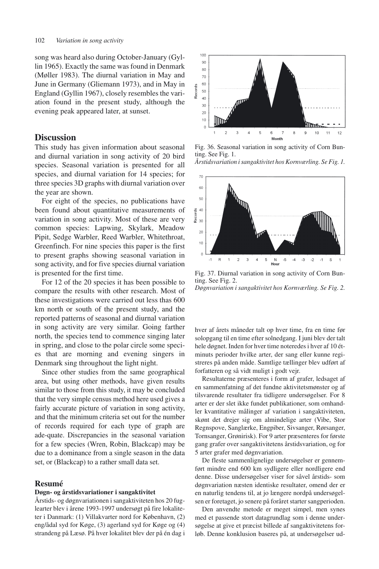song was heard also during October-January (Gyllin 1965). Exactly the same was found in Denmark (Møller 1983). The diurnal variation in May and June in Germany (Gliemann 1973), and in May in England (Gyllin 1967), closely resembles the variation found in the present study, although the evening peak appeared later, at sunset.

# **Discussion**

This study has given information about seasonal and diurnal variation in song activity of 20 bird species. Seasonal variation is presented for all species, and diurnal variation for 14 species; for three species 3D graphs with diurnal variation over the year are shown.

For eight of the species, no publications have been found about quantitative measurements of variation in song activity. Most of these are very common species: Lapwing, Skylark, Meadow Pipit, Sedge Warbler, Reed Warbler, Whitethroat, Greenfinch. For nine species this paper is the first to present graphs showing seasonal variation in song activity, and for five species diurnal variation is presented for the first time.

For 12 of the 20 species it has been possible to compare the results with other research. Most of these investigations were carried out less thas 600 km north or south of the present study, and the reported patterns of seasonal and diurnal variation in song activity are very similar. Going farther north, the species tend to commence singing later in spring, and close to the polar circle some species that are morning and evening singers in Denmark sing throughout the light night.

Since other studies from the same geographical area, but using other methods, have given results similar to those from this study, it may be concluded that the very simple census method here used gives a fairly accurate picture of variation in song activity, and that the minimum criteria set out for the number of records required for each type of graph are ade-quate. Discrepancies in the seasonal variation for a few species (Wren, Robin, Blackcap) may be due to a dominance from a single season in the data set, or (Blackcap) to a rather small data set.

## **Resumé**

#### **Døgn- og årstidsvariationer i sangaktivitet**

Årstids- og døgnvariationen i sangaktiviteten hos 20 fuglearter blev i årene 1993-1997 undersøgt på fire lokaliteter i Danmark: (1) Villakvarter nord for København, (2) eng/ådal syd for Køge, (3) agerland syd for Køge og (4) strandeng på Læsø. På hver lokalitet blev der på én dag i



Fig. 36. Seasonal variation in song activity of Corn Bunting. See Fig. 1. *Årstidsvariation i sangaktivitet hos Kornværling. Se Fig. 1.*



Fig. 37. Diurnal variation in song activity of Corn Bunting. See Fig. 2. *Døgnvariation i sangaktivitet hos Kornværling. Se Fig. 2.*

hver af årets måneder talt op hver time, fra en time før solopgang til en time efter solnedgang. I juni blev der talt hele døgnet. Inden for hver time noteredes i hver af 10 étminuts perioder hvilke arter, der sang eller kunne registreres på anden måde. Samtlige tællinger blev udført af forfatteren og så vidt muligt i godt vejr.

Resultaterne præsenteres i form af grafer, ledsaget af en sammenfatning af det fundne aktivitetsmønster og af tilsvarende resultater fra tidligere undersøgelser. For 8 arter er der slet ikke fundet publikationer, som omhandler kvantitative målinger af variation i sangaktiviteten, skønt det drejer sig om almindelige arter (Vibe, Stor Regnspove, Sanglærke, Engpiber, Sivsanger, Rørsanger, Tornsanger, Grønirisk). For 9 arter præsenteres for første gang grafer over sangaktivitetens årstidsvariation, og for 5 arter grafer med døgnvariation.

De fleste sammenlignelige undersøgelser er gennemført mindre end 600 km sydligere eller nordligere end denne. Disse undersøgelser viser for såvel årstids- som døgnvariation næsten identiske resultater, omend der er en naturlig tendens til, at jo længere nordpå undersøgelsen er foretaget, jo senere på foråret starter sangperioden.

Den anvendte metode er meget simpel, men synes med et passende stort datagrundlag som i denne undersøgelse at give et præcist billede af sangaktivitetens forløb. Denne konklusion baseres på, at undersøgelser ud